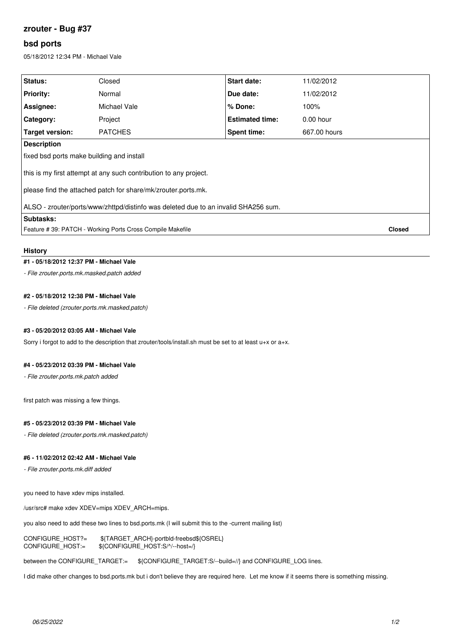# **zrouter - Bug #37**

# **bsd ports**

05/18/2012 12:34 PM - Michael Vale

| Status:                                                                            | Closed         | <b>Start date:</b>     | 11/02/2012   |               |
|------------------------------------------------------------------------------------|----------------|------------------------|--------------|---------------|
| <b>Priority:</b>                                                                   | Normal         | Due date:              | 11/02/2012   |               |
| Assignee:                                                                          | Michael Vale   | $%$ Done:              | 100%         |               |
| Category:                                                                          | Project        | <b>Estimated time:</b> | $0.00$ hour  |               |
| <b>Target version:</b>                                                             | <b>PATCHES</b> | Spent time:            | 667.00 hours |               |
| <b>Description</b>                                                                 |                |                        |              |               |
| fixed bsd ports make building and install                                          |                |                        |              |               |
| this is my first attempt at any such contribution to any project.                  |                |                        |              |               |
| please find the attached patch for share/mk/zrouter.ports.mk.                      |                |                        |              |               |
| ALSO - zrouter/ports/www/zhttpd/distinfo was deleted due to an invalid SHA256 sum. |                |                        |              |               |
| Subtasks:                                                                          |                |                        |              |               |
| Feature # 39: PATCH - Working Ports Cross Compile Makefile                         |                |                        |              | <b>Closed</b> |
|                                                                                    |                |                        |              |               |

#### **History**

#### **#1 - 05/18/2012 12:37 PM - Michael Vale**

*- File zrouter.ports.mk.masked.patch added*

### **#2 - 05/18/2012 12:38 PM - Michael Vale**

*- File deleted (zrouter.ports.mk.masked.patch)*

## **#3 - 05/20/2012 03:05 AM - Michael Vale**

Sorry i forgot to add to the description that zrouter/tools/install.sh must be set to at least u+x or a+x.

#### **#4 - 05/23/2012 03:39 PM - Michael Vale**

*- File zrouter.ports.mk.patch added*

first patch was missing a few things.

#### **#5 - 05/23/2012 03:39 PM - Michael Vale**

*- File deleted (zrouter.ports.mk.masked.patch)*

#### **#6 - 11/02/2012 02:42 AM - Michael Vale**

*- File zrouter.ports.mk.diff added*

you need to have xdev mips installed.

/usr/src# make xdev XDEV=mips XDEV ARCH=mips.

you also need to add these two lines to bsd.ports.mk (I will submit this to the -current mailing list)

CONFIGURE\_HOST?= \${TARGET\_ARCH}-portbld-freebsd\${OSREL} CONFIGURE\_HOST:= \${CONFIGURE\_HOST:S/^/--host=/}

between the CONFIGURE\_TARGET:= \${CONFIGURE\_TARGET:S/--build=//} and CONFIGURE\_LOG lines.

I did make other changes to bsd.ports.mk but i don't believe they are required here. Let me know if it seems there is something missing.